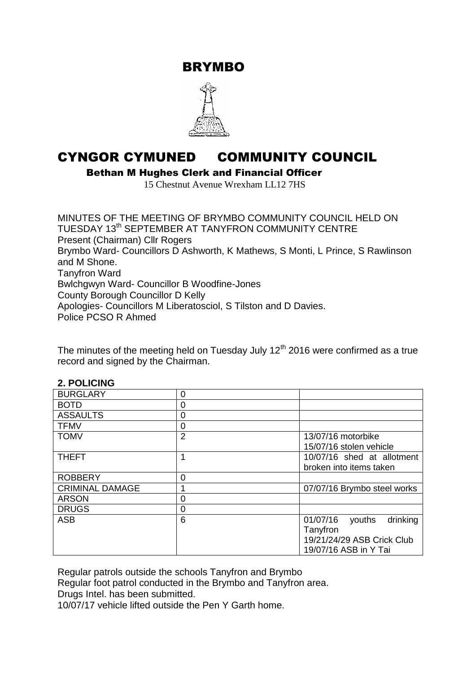BRYMBO



# CYNGOR CYMUNED COMMUNITY COUNCIL

Bethan M Hughes Clerk and Financial Officer

15 Chestnut Avenue Wrexham LL12 7HS

MINUTES OF THE MEETING OF BRYMBO COMMUNITY COUNCIL HELD ON TUESDAY 13<sup>th</sup> SEPTEMBER AT TANYFRON COMMUNITY CENTRE Present (Chairman) Cllr Rogers Brymbo Ward- Councillors D Ashworth, K Mathews, S Monti, L Prince, S Rawlinson and M Shone. Tanyfron Ward Bwlchgwyn Ward- Councillor B Woodfine-Jones County Borough Councillor D Kelly Apologies- Councillors M Liberatosciol, S Tilston and D Davies. Police PCSO R Ahmed

The minutes of the meeting held on Tuesday July  $12<sup>th</sup>$  2016 were confirmed as a true record and signed by the Chairman.

| Z. FULIUINU            |                |                                |
|------------------------|----------------|--------------------------------|
| <b>BURGLARY</b>        | 0              |                                |
| <b>BOTD</b>            | 0              |                                |
| <b>ASSAULTS</b>        | 0              |                                |
| <b>TFMV</b>            | 0              |                                |
| <b>TOMV</b>            | $\overline{2}$ | 13/07/16 motorbike             |
|                        |                | 15/07/16 stolen vehicle        |
| <b>THEFT</b>           | 1              | 10/07/16 shed at allotment     |
|                        |                | broken into items taken        |
| <b>ROBBERY</b>         | 0              |                                |
| <b>CRIMINAL DAMAGE</b> | 1              | 07/07/16 Brymbo steel works    |
| <b>ARSON</b>           | 0              |                                |
| <b>DRUGS</b>           | 0              |                                |
| <b>ASB</b>             | 6              | drinking<br>01/07/16<br>youths |
|                        |                | Tanyfron                       |
|                        |                | 19/21/24/29 ASB Crick Club     |
|                        |                | 19/07/16 ASB in Y Tai          |

# **2. POLICING**

Regular patrols outside the schools Tanyfron and Brymbo

Regular foot patrol conducted in the Brymbo and Tanyfron area.

Drugs Intel. has been submitted.

10/07/17 vehicle lifted outside the Pen Y Garth home.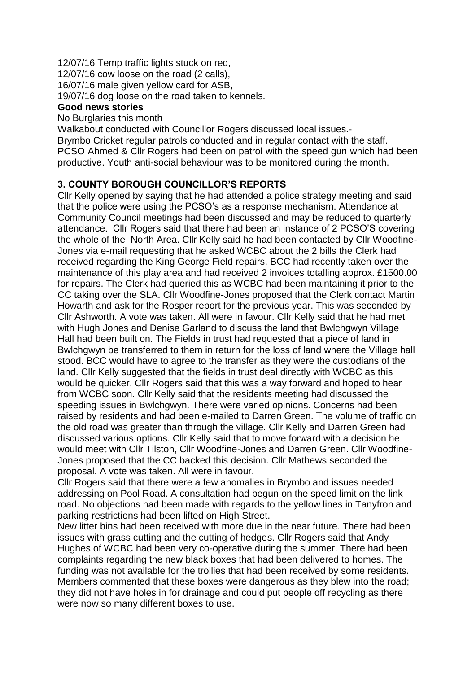12/07/16 Temp traffic lights stuck on red, 12/07/16 cow loose on the road (2 calls),

16/07/16 male given yellow card for ASB,

19/07/16 dog loose on the road taken to kennels.

# **Good news stories**

#### No Burglaries this month

Walkabout conducted with Councillor Rogers discussed local issues.-

Brymbo Cricket regular patrols conducted and in regular contact with the staff. PCSO Ahmed & Cllr Rogers had been on patrol with the speed gun which had been productive. Youth anti-social behaviour was to be monitored during the month.

# **3. COUNTY BOROUGH COUNCILLOR'S REPORTS**

Cllr Kelly opened by saying that he had attended a police strategy meeting and said that the police were using the PCSO's as a response mechanism. Attendance at Community Council meetings had been discussed and may be reduced to quarterly attendance. Cllr Rogers said that there had been an instance of 2 PCSO'S covering the whole of the North Area. Cllr Kelly said he had been contacted by Cllr Woodfine-Jones via e-mail requesting that he asked WCBC about the 2 bills the Clerk had received regarding the King George Field repairs. BCC had recently taken over the maintenance of this play area and had received 2 invoices totalling approx. £1500.00 for repairs. The Clerk had queried this as WCBC had been maintaining it prior to the CC taking over the SLA. Cllr Woodfine-Jones proposed that the Clerk contact Martin Howarth and ask for the Rosper report for the previous year. This was seconded by Cllr Ashworth. A vote was taken. All were in favour. Cllr Kelly said that he had met with Hugh Jones and Denise Garland to discuss the land that Bwlchgwyn Village Hall had been built on. The Fields in trust had requested that a piece of land in Bwlchgwyn be transferred to them in return for the loss of land where the Village hall stood. BCC would have to agree to the transfer as they were the custodians of the land. Cllr Kelly suggested that the fields in trust deal directly with WCBC as this would be quicker. Cllr Rogers said that this was a way forward and hoped to hear from WCBC soon. Cllr Kelly said that the residents meeting had discussed the speeding issues in Bwlchgwyn. There were varied opinions. Concerns had been raised by residents and had been e-mailed to Darren Green. The volume of traffic on the old road was greater than through the village. Cllr Kelly and Darren Green had discussed various options. Cllr Kelly said that to move forward with a decision he would meet with Cllr Tilston, Cllr Woodfine-Jones and Darren Green. Cllr Woodfine-Jones proposed that the CC backed this decision. Cllr Mathews seconded the proposal. A vote was taken. All were in favour.

Cllr Rogers said that there were a few anomalies in Brymbo and issues needed addressing on Pool Road. A consultation had begun on the speed limit on the link road. No objections had been made with regards to the yellow lines in Tanyfron and parking restrictions had been lifted on High Street.

New litter bins had been received with more due in the near future. There had been issues with grass cutting and the cutting of hedges. Cllr Rogers said that Andy Hughes of WCBC had been very co-operative during the summer. There had been complaints regarding the new black boxes that had been delivered to homes. The funding was not available for the trollies that had been received by some residents. Members commented that these boxes were dangerous as they blew into the road; they did not have holes in for drainage and could put people off recycling as there were now so many different boxes to use.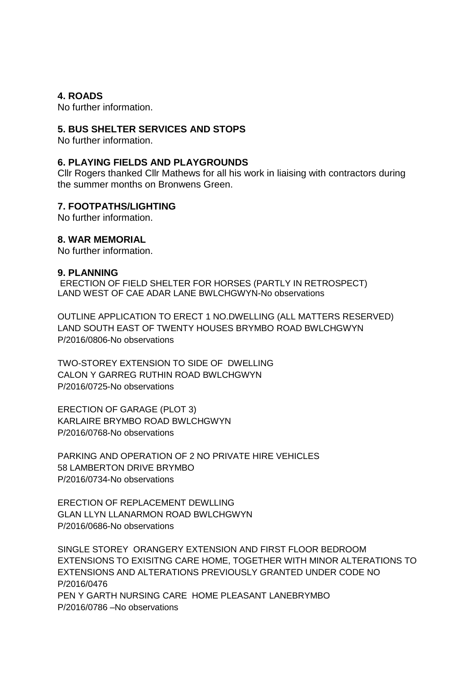**4. ROADS**

No further information.

#### **5. BUS SHELTER SERVICES AND STOPS**

No further information.

#### **6. PLAYING FIELDS AND PLAYGROUNDS**

Cllr Rogers thanked Cllr Mathews for all his work in liaising with contractors during the summer months on Bronwens Green.

#### **7. FOOTPATHS/LIGHTING**

No further information.

#### **8. WAR MEMORIAL**

No further information.

#### **9. PLANNING**

ERECTION OF FIELD SHELTER FOR HORSES (PARTLY IN RETROSPECT) LAND WEST OF CAE ADAR LANE BWLCHGWYN-No observations

OUTLINE APPLICATION TO ERECT 1 NO.DWELLING (ALL MATTERS RESERVED) LAND SOUTH EAST OF TWENTY HOUSES BRYMBO ROAD BWLCHGWYN P/2016/0806-No observations

TWO-STOREY EXTENSION TO SIDE OF DWELLING CALON Y GARREG RUTHIN ROAD BWLCHGWYN P/2016/0725-No observations

ERECTION OF GARAGE (PLOT 3) KARLAIRE BRYMBO ROAD BWLCHGWYN P/2016/0768-No observations

PARKING AND OPERATION OF 2 NO PRIVATE HIRE VEHICLES 58 LAMBERTON DRIVE BRYMBO P/2016/0734-No observations

ERECTION OF REPLACEMENT DEWLLING GLAN LLYN LLANARMON ROAD BWLCHGWYN P/2016/0686-No observations

SINGLE STOREY ORANGERY EXTENSION AND FIRST FLOOR BEDROOM EXTENSIONS TO EXISITNG CARE HOME, TOGETHER WITH MINOR ALTERATIONS TO EXTENSIONS AND ALTERATIONS PREVIOUSLY GRANTED UNDER CODE NO P/2016/0476 PEN Y GARTH NURSING CARE HOME PLEASANT LANEBRYMBO P/2016/0786 –No observations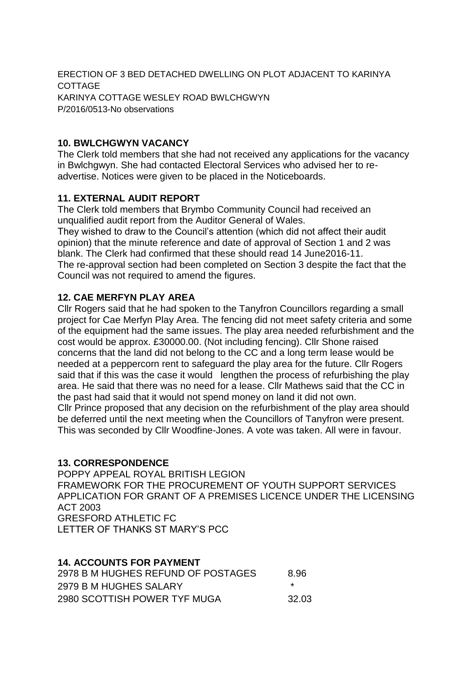ERECTION OF 3 BED DETACHED DWELLING ON PLOT ADJACENT TO KARINYA **COTTAGE** KARINYA COTTAGE WESLEY ROAD BWLCHGWYN P/2016/0513-No observations

# **10. BWLCHGWYN VACANCY**

The Clerk told members that she had not received any applications for the vacancy in Bwlchgwyn. She had contacted Electoral Services who advised her to readvertise. Notices were given to be placed in the Noticeboards.

# **11. EXTERNAL AUDIT REPORT**

The Clerk told members that Brymbo Community Council had received an unqualified audit report from the Auditor General of Wales. They wished to draw to the Council's attention (which did not affect their audit opinion) that the minute reference and date of approval of Section 1 and 2 was blank. The Clerk had confirmed that these should read 14 June2016-11. The re-approval section had been completed on Section 3 despite the fact that the Council was not required to amend the figures.

# **12. CAE MERFYN PLAY AREA**

Cllr Rogers said that he had spoken to the Tanyfron Councillors regarding a small project for Cae Merfyn Play Area. The fencing did not meet safety criteria and some of the equipment had the same issues. The play area needed refurbishment and the cost would be approx. £30000.00. (Not including fencing). Cllr Shone raised concerns that the land did not belong to the CC and a long term lease would be needed at a peppercorn rent to safeguard the play area for the future. Cllr Rogers said that if this was the case it would lengthen the process of refurbishing the play area. He said that there was no need for a lease. Cllr Mathews said that the CC in the past had said that it would not spend money on land it did not own. Cllr Prince proposed that any decision on the refurbishment of the play area should be deferred until the next meeting when the Councillors of Tanyfron were present. This was seconded by Cllr Woodfine-Jones. A vote was taken. All were in favour.

## **13. CORRESPONDENCE**

POPPY APPEAL ROYAL BRITISH LEGION FRAMEWORK FOR THE PROCUREMENT OF YOUTH SUPPORT SERVICES APPLICATION FOR GRANT OF A PREMISES LICENCE UNDER THE LICENSING ACT 2003 GRESFORD ATHLETIC FC LETTER OF THANKS ST MARY'S PCC

## **14. ACCOUNTS FOR PAYMENT**

| 2978 B M HUGHES REFUND OF POSTAGES | 8.96   |
|------------------------------------|--------|
| 2979 B M HUGHES SALARY             |        |
| 2980 SCOTTISH POWER TYF MUGA       | -32.03 |